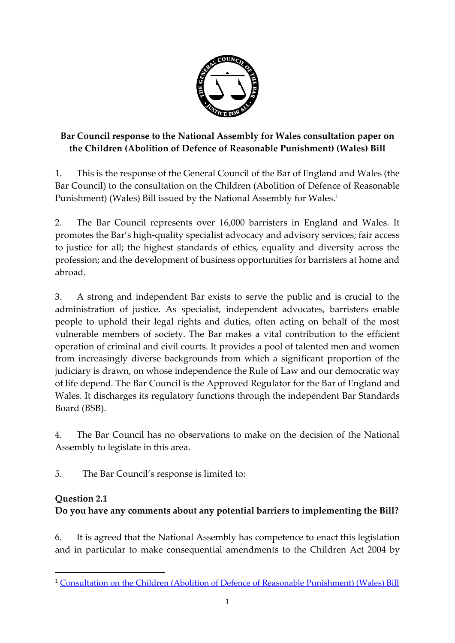

## **Bar Council response to the National Assembly for Wales consultation paper on the Children (Abolition of Defence of Reasonable Punishment) (Wales) Bill**

1. This is the response of the General Council of the Bar of England and Wales (the Bar Council) to the consultation on the Children (Abolition of Defence of Reasonable Punishment) (Wales) Bill issued by the National Assembly for Wales. 1

2. The Bar Council represents over 16,000 barristers in England and Wales. It promotes the Bar's high-quality specialist advocacy and advisory services; fair access to justice for all; the highest standards of ethics, equality and diversity across the profession; and the development of business opportunities for barristers at home and abroad.

3. A strong and independent Bar exists to serve the public and is crucial to the administration of justice. As specialist, independent advocates, barristers enable people to uphold their legal rights and duties, often acting on behalf of the most vulnerable members of society. The Bar makes a vital contribution to the efficient operation of criminal and civil courts. It provides a pool of talented men and women from increasingly diverse backgrounds from which a significant proportion of the judiciary is drawn, on whose independence the Rule of Law and our democratic way of life depend. The Bar Council is the Approved Regulator for the Bar of England and Wales. It discharges its regulatory functions through the independent Bar Standards Board (BSB).

4. The Bar Council has no observations to make on the decision of the National Assembly to legislate in this area.

5. The Bar Council's response is limited to:

### **Question 2.1**

**.** 

# **Do you have any comments about any potential barriers to implementing the Bill?**

6. It is agreed that the National Assembly has competence to enact this legislation and in particular to make consequential amendments to the Children Act 2004 by

<sup>&</sup>lt;sup>1</sup> [Consultation on the Children \(Abolition of Defence of Reasonable Punishment\) \(Wales\) Bill](http://www.senedd.assembly.wales/mgConsultationdisplay.aspx?Id=352)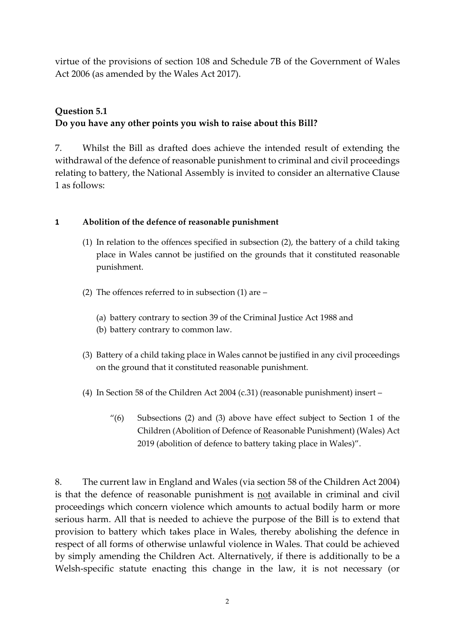virtue of the provisions of section 108 and Schedule 7B of the Government of Wales Act 2006 (as amended by the Wales Act 2017).

### **Question 5.1**

#### **Do you have any other points you wish to raise about this Bill?**

7. Whilst the Bill as drafted does achieve the intended result of extending the withdrawal of the defence of reasonable punishment to criminal and civil proceedings relating to battery, the National Assembly is invited to consider an alternative Clause 1 as follows:

#### **1 Abolition of the defence of reasonable punishment**

- (1) In relation to the offences specified in subsection (2), the battery of a child taking place in Wales cannot be justified on the grounds that it constituted reasonable punishment.
- (2) The offences referred to in subsection (1) are
	- (a) battery contrary to section 39 of the Criminal Justice Act 1988 and
	- (b) battery contrary to common law.
- (3) Battery of a child taking place in Wales cannot be justified in any civil proceedings on the ground that it constituted reasonable punishment.
- (4) In Section 58 of the Children Act 2004 (c.31) (reasonable punishment) insert
	- $''(6)$  Subsections (2) and (3) above have effect subject to Section 1 of the Children (Abolition of Defence of Reasonable Punishment) (Wales) Act 2019 (abolition of defence to battery taking place in Wales)".

8. The current law in England and Wales (via section 58 of the Children Act 2004) is that the defence of reasonable punishment is not available in criminal and civil proceedings which concern violence which amounts to actual bodily harm or more serious harm. All that is needed to achieve the purpose of the Bill is to extend that provision to battery which takes place in Wales, thereby abolishing the defence in respect of all forms of otherwise unlawful violence in Wales. That could be achieved by simply amending the Children Act. Alternatively, if there is additionally to be a Welsh-specific statute enacting this change in the law, it is not necessary (or